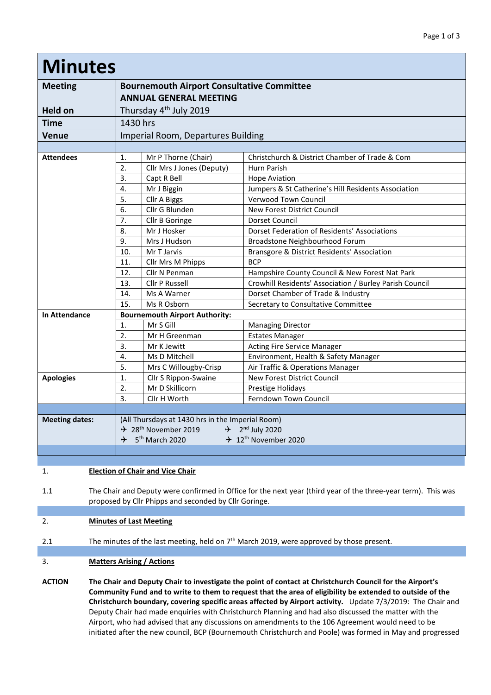| <b>Minutes</b>        |                                                                                    |                           |                                                         |
|-----------------------|------------------------------------------------------------------------------------|---------------------------|---------------------------------------------------------|
| <b>Meeting</b>        | <b>Bournemouth Airport Consultative Committee</b><br><b>ANNUAL GENERAL MEETING</b> |                           |                                                         |
|                       |                                                                                    |                           |                                                         |
| <b>Held on</b>        | Thursday 4 <sup>th</sup> July 2019                                                 |                           |                                                         |
| <b>Time</b>           | 1430 hrs                                                                           |                           |                                                         |
| <b>Venue</b>          | Imperial Room, Departures Building                                                 |                           |                                                         |
|                       |                                                                                    |                           |                                                         |
| <b>Attendees</b>      | 1.                                                                                 | Mr P Thorne (Chair)       | Christchurch & District Chamber of Trade & Com          |
|                       | 2.                                                                                 | Cllr Mrs J Jones (Deputy) | Hurn Parish                                             |
|                       | 3.                                                                                 | Capt R Bell               | <b>Hope Aviation</b>                                    |
|                       | 4.                                                                                 | Mr J Biggin               | Jumpers & St Catherine's Hill Residents Association     |
|                       | 5.                                                                                 | Cllr A Biggs              | Verwood Town Council                                    |
|                       | 6.                                                                                 | Cllr G Blunden            | New Forest District Council                             |
|                       | 7.                                                                                 | Cllr B Goringe            | Dorset Council                                          |
|                       | 8.                                                                                 | Mr J Hosker               | Dorset Federation of Residents' Associations            |
|                       | 9.                                                                                 | Mrs J Hudson              | Broadstone Neighbourhood Forum                          |
|                       | 10.                                                                                | Mr T Jarvis               | Bransgore & District Residents' Association             |
|                       | 11.                                                                                | Cllr Mrs M Phipps         | <b>BCP</b>                                              |
|                       | 12.                                                                                | Cllr N Penman             | Hampshire County Council & New Forest Nat Park          |
|                       | 13.                                                                                | Cllr P Russell            | Crowhill Residents' Association / Burley Parish Council |
|                       | 14.                                                                                | Ms A Warner               | Dorset Chamber of Trade & Industry                      |
|                       | 15.                                                                                | Ms R Osborn               | Secretary to Consultative Committee                     |
| <b>In Attendance</b>  | <b>Bournemouth Airport Authority:</b>                                              |                           |                                                         |
|                       | 1.                                                                                 | Mr S Gill                 | <b>Managing Director</b>                                |
|                       | 2.                                                                                 | Mr H Greenman             | <b>Estates Manager</b>                                  |
|                       | 3.                                                                                 | Mr K Jewitt               | <b>Acting Fire Service Manager</b>                      |
|                       | 4.                                                                                 | Ms D Mitchell             | Environment, Health & Safety Manager                    |
|                       | 5.                                                                                 | Mrs C Willougby-Crisp     | Air Traffic & Operations Manager                        |
| <b>Apologies</b>      | 1.                                                                                 | Cllr S Rippon-Swaine      | New Forest District Council                             |
|                       | $\overline{2}$ .                                                                   | Mr D Skillicorn           | Prestige Holidays                                       |
|                       | 3.                                                                                 | Cllr H Worth              | Ferndown Town Council                                   |
|                       |                                                                                    |                           |                                                         |
| <b>Meeting dates:</b> | (All Thursdays at 1430 hrs in the Imperial Room)                                   |                           |                                                         |
|                       | $\div$ 28 <sup>th</sup> November 2019<br>$\div$ 2 <sup>nd</sup> July 2020          |                           |                                                         |
|                       | $\div$ 5 <sup>th</sup> March 2020<br>$\div$ 12 <sup>th</sup> November 2020         |                           |                                                         |
|                       |                                                                                    |                           |                                                         |

1. **Election of Chair and Vice Chair**

1.1 The Chair and Deputy were confirmed in Office for the next year (third year of the three-year term). This was proposed by Cllr Phipps and seconded by Cllr Goringe.

# 2. **Minutes of Last Meeting**

2.1 The minutes of the last meeting, held on  $7<sup>th</sup>$  March 2019, were approved by those present.

### 3. **Matters Arising / Actions**

**ACTION The Chair and Deputy Chair to investigate the point of contact at Christchurch Council for the Airport's Community Fund and to write to them to request that the area of eligibility be extended to outside of the Christchurch boundary, covering specific areas affected by Airport activity.** Update 7/3/2019: The Chair and Deputy Chair had made enquiries with Christchurch Planning and had also discussed the matter with the Airport, who had advised that any discussions on amendments to the 106 Agreement would need to be initiated after the new council, BCP (Bournemouth Christchurch and Poole) was formed in May and progressed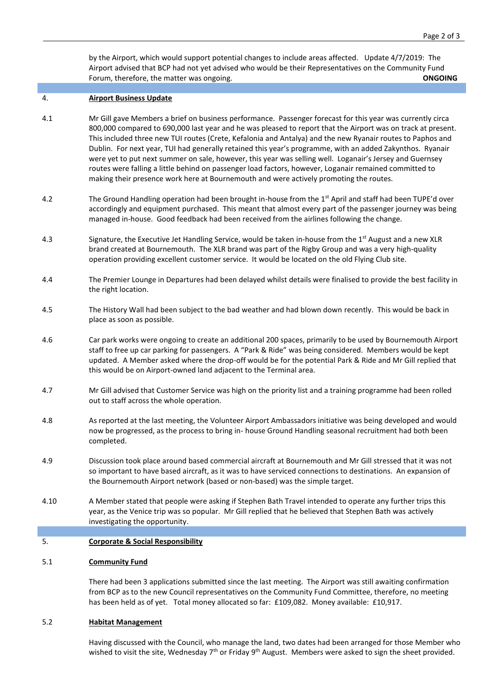by the Airport, which would support potential changes to include areas affected. Update 4/7/2019: The Airport advised that BCP had not yet advised who would be their Representatives on the Community Fund Forum, therefore, the matter was ongoing. **CONGOING CONGOING** 

#### 4. **Airport Business Update**

- 4.1 Mr Gill gave Members a brief on business performance. Passenger forecast for this year was currently circa 800,000 compared to 690,000 last year and he was pleased to report that the Airport was on track at present. This included three new TUI routes (Crete, Kefalonia and Antalya) and the new Ryanair routes to Paphos and Dublin. For next year, TUI had generally retained this year's programme, with an added Zakynthos. Ryanair were yet to put next summer on sale, however, this year was selling well. Loganair's Jersey and Guernsey routes were falling a little behind on passenger load factors, however, Loganair remained committed to making their presence work here at Bournemouth and were actively promoting the routes.
- 4.2 The Ground Handling operation had been brought in-house from the 1<sup>st</sup> April and staff had been TUPE'd over accordingly and equipment purchased. This meant that almost every part of the passenger journey was being managed in-house. Good feedback had been received from the airlines following the change.
- 4.3 Signature, the Executive Jet Handling Service, would be taken in-house from the 1<sup>st</sup> August and a new XLR brand created at Bournemouth. The XLR brand was part of the Rigby Group and was a very high-quality operation providing excellent customer service. It would be located on the old Flying Club site.
- 4.4 The Premier Lounge in Departures had been delayed whilst details were finalised to provide the best facility in the right location.
- 4.5 The History Wall had been subject to the bad weather and had blown down recently. This would be back in place as soon as possible.
- 4.6 Car park works were ongoing to create an additional 200 spaces, primarily to be used by Bournemouth Airport staff to free up car parking for passengers. A "Park & Ride" was being considered. Members would be kept updated. A Member asked where the drop-off would be for the potential Park & Ride and Mr Gill replied that this would be on Airport-owned land adjacent to the Terminal area.
- 4.7 Mr Gill advised that Customer Service was high on the priority list and a training programme had been rolled out to staff across the whole operation.
- 4.8 As reported at the last meeting, the Volunteer Airport Ambassadors initiative was being developed and would now be progressed, as the process to bring in- house Ground Handling seasonal recruitment had both been completed.
- 4.9 Discussion took place around based commercial aircraft at Bournemouth and Mr Gill stressed that it was not so important to have based aircraft, as it was to have serviced connections to destinations. An expansion of the Bournemouth Airport network (based or non-based) was the simple target.
- 4.10 A Member stated that people were asking if Stephen Bath Travel intended to operate any further trips this year, as the Venice trip was so popular. Mr Gill replied that he believed that Stephen Bath was actively investigating the opportunity.

#### 5. **Corporate & Social Responsibility**

#### 5.1 **Community Fund**

There had been 3 applications submitted since the last meeting. The Airport was still awaiting confirmation from BCP as to the new Council representatives on the Community Fund Committee, therefore, no meeting has been held as of yet. Total money allocated so far: £109,082. Money available: £10,917.

### 5.2 **Habitat Management**

Having discussed with the Council, who manage the land, two dates had been arranged for those Member who wished to visit the site, Wednesday  $7<sup>th</sup>$  or Friday 9<sup>th</sup> August. Members were asked to sign the sheet provided.